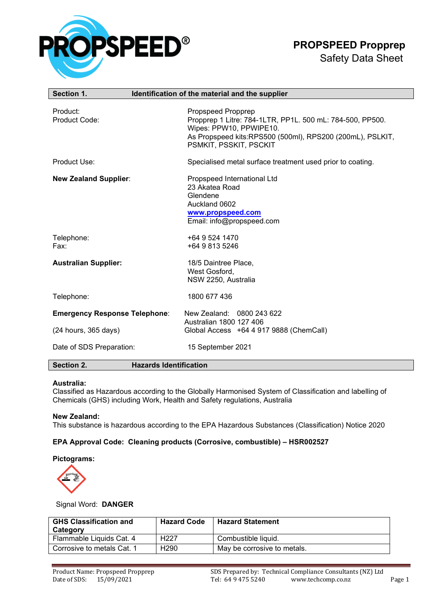

# **PROPSPEED Propprep**

### Safety Data Sheet

| Section 1.                                       | Identification of the material and the supplier                                                                                                                                                   |
|--------------------------------------------------|---------------------------------------------------------------------------------------------------------------------------------------------------------------------------------------------------|
| Product:<br>Product Code:                        | Propspeed Propprep<br>Propprep 1 Litre: 784-1LTR, PP1L. 500 mL: 784-500, PP500.<br>Wipes: PPW10, PPWIPE10.<br>As Propspeed kits:RPS500 (500ml), RPS200 (200mL), PSLKIT,<br>PSMKIT, PSSKIT, PSCKIT |
| Product Use:                                     | Specialised metal surface treatment used prior to coating.                                                                                                                                        |
| <b>New Zealand Supplier:</b>                     | Propspeed International Ltd<br>23 Akatea Road<br>Glendene<br>Auckland 0602<br>www.propspeed.com<br>Email: info@propspeed.com                                                                      |
| Telephone:<br>Fax:                               | +64 9 524 1470<br>+64 9 813 5246                                                                                                                                                                  |
| <b>Australian Supplier:</b>                      | 18/5 Daintree Place,<br>West Gosford,<br>NSW 2250, Australia                                                                                                                                      |
| Telephone:                                       | 1800 677 436                                                                                                                                                                                      |
| <b>Emergency Response Telephone:</b>             | New Zealand: 0800 243 622<br>Australian 1800 127 406                                                                                                                                              |
| (24 hours, 365 days)<br>Date of SDS Preparation: | Global Access +64 4 917 9888 (ChemCall)<br>15 September 2021                                                                                                                                      |
| Section 2.                                       | <b>Hazards Identification</b>                                                                                                                                                                     |

#### **Australia:**

Classified as Hazardous according to the Globally Harmonised System of Classification and labelling of Chemicals (GHS) including Work, Health and Safety regulations, Australia

#### **New Zealand:**

This substance is hazardous according to the EPA Hazardous Substances (Classification) Notice 2020

#### **EPA Approval Code: Cleaning products (Corrosive, combustible) – HSR002527**

#### **Pictograms:**



#### Signal Word: **DANGER**

| <b>GHS Classification and</b><br>Category | <b>Hazard Code</b> | <b>Hazard Statement</b>     |
|-------------------------------------------|--------------------|-----------------------------|
| Flammable Liquids Cat. 4                  | H <sub>22</sub> 7  | Combustible liquid.         |
| Corrosive to metals Cat. 1                | H <sub>290</sub>   | May be corrosive to metals. |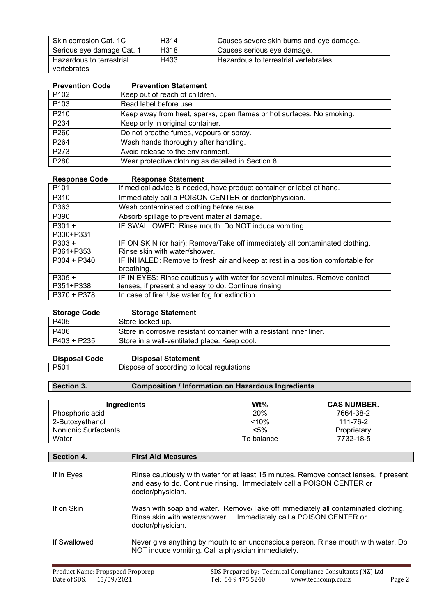| Skin corrosion Cat. 1C    | H <sub>3</sub> 14 | Causes severe skin burns and eye damage. |
|---------------------------|-------------------|------------------------------------------|
| Serious eye damage Cat. 1 | H318              | Causes serious eye damage.               |
| Hazardous to terrestrial  | H433              | Hazardous to terrestrial vertebrates     |
| vertebrates               |                   |                                          |

| <b>Prevention Code</b> | <b>Prevention Statement</b>                                           |
|------------------------|-----------------------------------------------------------------------|
| P <sub>102</sub>       | Keep out of reach of children.                                        |
| P103                   | Read label before use.                                                |
| P210                   | Keep away from heat, sparks, open flames or hot surfaces. No smoking. |
| P234                   | Keep only in original container.                                      |
| P260                   | Do not breathe fumes, vapours or spray.                               |
| P <sub>264</sub>       | Wash hands thoroughly after handling.                                 |
| P273                   | Avoid release to the environment.                                     |
| P280                   | Wear protective clothing as detailed in Section 8.                    |

| <b>Response Statement</b>                                                      |
|--------------------------------------------------------------------------------|
| If medical advice is needed, have product container or label at hand.          |
| Immediately call a POISON CENTER or doctor/physician.                          |
| Wash contaminated clothing before reuse.                                       |
| Absorb spillage to prevent material damage.                                    |
| IF SWALLOWED: Rinse mouth. Do NOT induce vomiting.                             |
|                                                                                |
| IF ON SKIN (or hair): Remove/Take off immediately all contaminated clothing.   |
| Rinse skin with water/shower.                                                  |
| IF INHALED: Remove to fresh air and keep at rest in a position comfortable for |
| breathing.                                                                     |
| IF IN EYES: Rinse cautiously with water for several minutes. Remove contact    |
| lenses, if present and easy to do. Continue rinsing.                           |
| In case of fire: Use water fog for extinction.                                 |
|                                                                                |

| <b>Storage Code</b> | <b>Storage Statement</b>                                             |
|---------------------|----------------------------------------------------------------------|
| P405                | Store locked up.                                                     |
| P406                | Store in corrosive resistant container with a resistant inner liner. |
| P403 + P235         | Store in a well-ventilated place. Keep cool.                         |

| <b>Disposal Code</b> | <b>Disposal Statement</b>                              |
|----------------------|--------------------------------------------------------|
| P501                 | <sup>1</sup> Dispose of according to local regulations |

## **Section 3. Composition / Information on Hazardous Ingredients**

| <b>Ingredients</b>   | Wt%        | <b>CAS NUMBER.</b> |
|----------------------|------------|--------------------|
| Phosphoric acid      | 20%        | 7664-38-2          |
| 2-Butoxyethanol      | < 10%      | 111-76-2           |
| Nonionic Surfactants | $< 5\%$    | Proprietary        |
| Water                | To balance | 7732-18-5          |

| Section 4.   | <b>First Aid Measures</b>                                                                                                                                                            |
|--------------|--------------------------------------------------------------------------------------------------------------------------------------------------------------------------------------|
| If in Eyes   | Rinse cautiously with water for at least 15 minutes. Remove contact lenses, if present<br>and easy to do. Continue rinsing. Immediately call a POISON CENTER or<br>doctor/physician. |
| If on Skin   | Wash with soap and water. Remove/Take off immediately all contaminated clothing.<br>Rinse skin with water/shower.<br>Immediately call a POISON CENTER or<br>doctor/physician.        |
| If Swallowed | Never give anything by mouth to an unconscious person. Rinse mouth with water. Do<br>NOT induce vomiting. Call a physician immediately.                                              |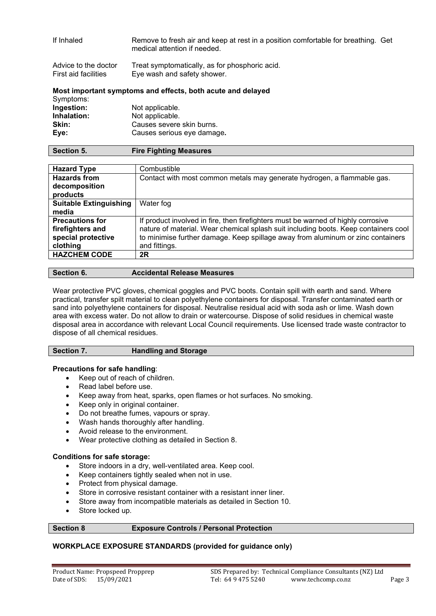| If Inhaled                                   | Remove to fresh air and keep at rest in a position comfortable for breathing. Get<br>medical attention if needed. |  |
|----------------------------------------------|-------------------------------------------------------------------------------------------------------------------|--|
| Advice to the doctor<br>First aid facilities | Treat symptomatically, as for phosphoric acid.<br>Eye wash and safety shower.                                     |  |
|                                              | Most important symptoms and effects, both acute and delayed                                                       |  |
| Symptoms:                                    |                                                                                                                   |  |
| Ingestion:                                   | Not applicable.                                                                                                   |  |
| Inhalation:                                  | Not applicable.                                                                                                   |  |
| <b>ALL</b>                                   |                                                                                                                   |  |

| Skin: | Causes severe skin burns.  |
|-------|----------------------------|
| Eye:  | Causes serious eye damage. |
|       |                            |

| <b>Hazard Type</b>                   | Combustible                                                                         |
|--------------------------------------|-------------------------------------------------------------------------------------|
| <b>Hazards from</b><br>decomposition | Contact with most common metals may generate hydrogen, a flammable gas.             |
| products                             |                                                                                     |
| <b>Suitable Extinguishing</b>        | Water fog                                                                           |
| media                                |                                                                                     |
| <b>Precautions for</b>               | If product involved in fire, then firefighters must be warned of highly corrosive   |
| firefighters and                     | nature of material. Wear chemical splash suit including boots. Keep containers cool |
| special protective                   | to minimise further damage. Keep spillage away from aluminum or zinc containers     |
| clothing                             | and fittings.                                                                       |
| <b>HAZCHEM CODE</b>                  | 2R                                                                                  |

| Section 6. | <b>Accidental Release Measures</b> |
|------------|------------------------------------|
|            |                                    |

Wear protective PVC gloves, chemical goggles and PVC boots. Contain spill with earth and sand. Where practical, transfer spilt material to clean polyethylene containers for disposal. Transfer contaminated earth or sand into polyethylene containers for disposal. Neutralise residual acid with soda ash or lime. Wash down area with excess water. Do not allow to drain or watercourse. Dispose of solid residues in chemical waste disposal area in accordance with relevant Local Council requirements. Use licensed trade waste contractor to dispose of all chemical residues.

| Section 7. | <b>Handling and Storage</b> |
|------------|-----------------------------|
|------------|-----------------------------|

#### **Precautions for safe handling**:

- Keep out of reach of children.
- Read label before use.
- Keep away from heat, sparks, open flames or hot surfaces. No smoking.
- Keep only in original container.
- Do not breathe fumes, vapours or spray.
- Wash hands thoroughly after handling.
- Avoid release to the environment.
- Wear protective clothing as detailed in Section 8.

#### **Conditions for safe storage:**

- Store indoors in a dry, well-ventilated area. Keep cool.
- Keep containers tightly sealed when not in use.
- Protect from physical damage.
- Store in corrosive resistant container with a resistant inner liner.
- Store away from incompatible materials as detailed in Section 10.
- Store locked up.

### **Section 8 Exposure Controls / Personal Protection**

#### **WORKPLACE EXPOSURE STANDARDS (provided for guidance only)**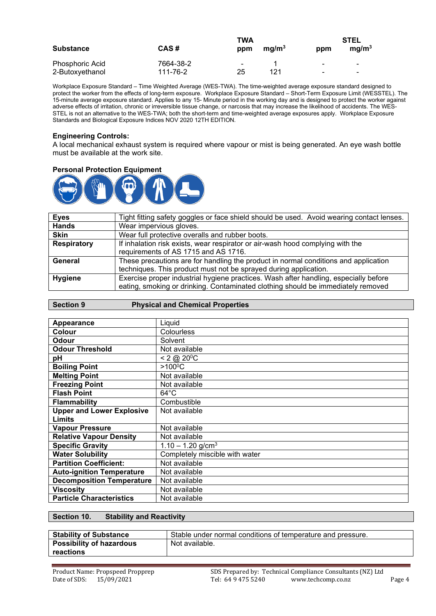| <b>Substance</b> | CAS#      | <b>TWA</b><br>ppm | ma/m <sup>3</sup> | ppm            | STEL<br>ma/m <sup>3</sup> |
|------------------|-----------|-------------------|-------------------|----------------|---------------------------|
| Phosphoric Acid  | 7664-38-2 |                   |                   | $\blacksquare$ | $\blacksquare$            |
| 2-Butoxyethanol  | 111-76-2  | 25                | 121               | $\blacksquare$ | $\blacksquare$            |

Workplace Exposure Standard – Time Weighted Average (WES-TWA). The time-weighted average exposure standard designed to protect the worker from the effects of long-term exposure. Workplace Exposure Standard – Short-Term Exposure Limit (WESSTEL). The 15-minute average exposure standard. Applies to any 15- Minute period in the working day and is designed to protect the worker against adverse effects of irritation, chronic or irreversible tissue change, or narcosis that may increase the likelihood of accidents. The WES-STEL is not an alternative to the WES-TWA; both the short-term and time-weighted average exposures apply. Workplace Exposure Standards and Biological Exposure Indices NOV 2020 12TH EDITION.

#### **Engineering Controls:**

A local mechanical exhaust system is required where vapour or mist is being generated. An eye wash bottle must be available at the work site.

#### **Personal Protection Equipment**



| <b>Eyes</b>        | Tight fitting safety goggles or face shield should be used. Avoid wearing contact lenses. |
|--------------------|-------------------------------------------------------------------------------------------|
| <b>Hands</b>       | Wear impervious gloves.                                                                   |
| <b>Skin</b>        | Wear full protective overalls and rubber boots.                                           |
| <b>Respiratory</b> | If inhalation risk exists, wear respirator or air-wash hood complying with the            |
|                    | requirements of AS 1715 and AS 1716.                                                      |
| General            | These precautions are for handling the product in normal conditions and application       |
|                    | techniques. This product must not be sprayed during application.                          |
| <b>Hygiene</b>     | Exercise proper industrial hygiene practices. Wash after handling, especially before      |
|                    | eating, smoking or drinking. Contaminated clothing should be immediately removed          |

| <b>Section 9</b> | <b>Physical and Chemical Properties</b> |
|------------------|-----------------------------------------|

| Appearance                       | Liquid                          |
|----------------------------------|---------------------------------|
| Colour                           | Colourless                      |
| Odour                            | Solvent                         |
| <b>Odour Threshold</b>           | Not available                   |
| рH                               | $< 2 \omega$ 20 <sup>o</sup> C  |
| <b>Boiling Point</b>             | $>100^{\circ}$ C                |
| <b>Melting Point</b>             | Not available                   |
| <b>Freezing Point</b>            | Not available                   |
| <b>Flash Point</b>               | $64^{\circ}$ C                  |
| Flammability                     | Combustible                     |
| <b>Upper and Lower Explosive</b> | Not available                   |
| Limits                           |                                 |
| <b>Vapour Pressure</b>           | Not available                   |
| <b>Relative Vapour Density</b>   | Not available                   |
| <b>Specific Gravity</b>          | $1.10 - 1.20$ g/cm <sup>3</sup> |
| <b>Water Solubility</b>          | Completely miscible with water  |
| <b>Partition Coefficient:</b>    | Not available                   |
| <b>Auto-ignition Temperature</b> | Not available                   |
| <b>Decomposition Temperature</b> | Not available                   |
| Viscositv                        | Not available                   |
| <b>Particle Characteristics</b>  | Not available                   |

#### **Section 10. Stability and Reactivity**

| <b>Stability of Substance</b>   | Stable under normal conditions of temperature and pressure. |
|---------------------------------|-------------------------------------------------------------|
| <b>Possibility of hazardous</b> | Not available.                                              |
| reactions                       |                                                             |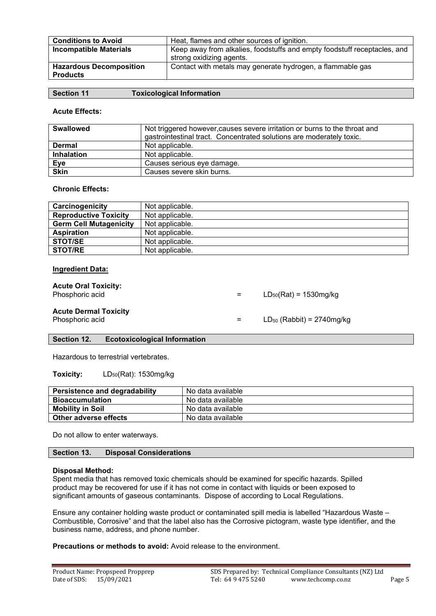| <b>Conditions to Avoid</b>     | Heat, flames and other sources of ignition.                              |
|--------------------------------|--------------------------------------------------------------------------|
| <b>Incompatible Materials</b>  | Keep away from alkalies, foodstuffs and empty foodstuff receptacles, and |
|                                | strong oxidizing agents.                                                 |
| <b>Hazardous Decomposition</b> | Contact with metals may generate hydrogen, a flammable gas               |
| <b>Products</b>                |                                                                          |

#### **Acute Effects:**

| <b>Swallowed</b>  | Not triggered however, causes severe irritation or burns to the throat and<br>gastrointestinal tract. Concentrated solutions are moderately toxic. |
|-------------------|----------------------------------------------------------------------------------------------------------------------------------------------------|
| Dermal            | Not applicable.                                                                                                                                    |
| <b>Inhalation</b> | Not applicable.                                                                                                                                    |
| <b>Eye</b>        | Causes serious eye damage.                                                                                                                         |
| <b>Skin</b>       | Causes severe skin burns.                                                                                                                          |

#### **Chronic Effects:**

| Carcinogenicity               | Not applicable. |
|-------------------------------|-----------------|
| <b>Reproductive Toxicity</b>  | Not applicable. |
| <b>Germ Cell Mutagenicity</b> | Not applicable. |
| <b>Aspiration</b>             | Not applicable. |
| <b>STOT/SE</b>                | Not applicable. |
| <b>STOT/RE</b>                | Not applicable. |

#### **Ingredient Data:**

**Acute Oral Toxicity:**

 $=$  LD<sub>50</sub>(Rat) = 1530mg/kg

# **Acute Dermal Toxicity**

 $=$  LD<sub>50</sub> (Rabbit) = 2740mg/kg

#### **Section 12. Ecotoxicological Information**

Hazardous to terrestrial vertebrates.

**Toxicity:** LD<sub>50</sub>(Rat): 1530mg/kg

| <b>Persistence and degradability</b> | No data available |
|--------------------------------------|-------------------|
| Bioaccumulation                      | No data available |
| <b>Mobility in Soil</b>              | No data available |
| Other adverse effects                | No data available |

Do not allow to enter waterways.

| Section 13. | <b>Disposal Considerations</b> |  |
|-------------|--------------------------------|--|
|-------------|--------------------------------|--|

#### **Disposal Method:**

Spent media that has removed toxic chemicals should be examined for specific hazards. Spilled product may be recovered for use if it has not come in contact with liquids or been exposed to significant amounts of gaseous contaminants. Dispose of according to Local Regulations.

Ensure any container holding waste product or contaminated spill media is labelled "Hazardous Waste – Combustible, Corrosive" and that the label also has the Corrosive pictogram, waste type identifier, and the business name, address, and phone number.

**Precautions or methods to avoid:** Avoid release to the environment.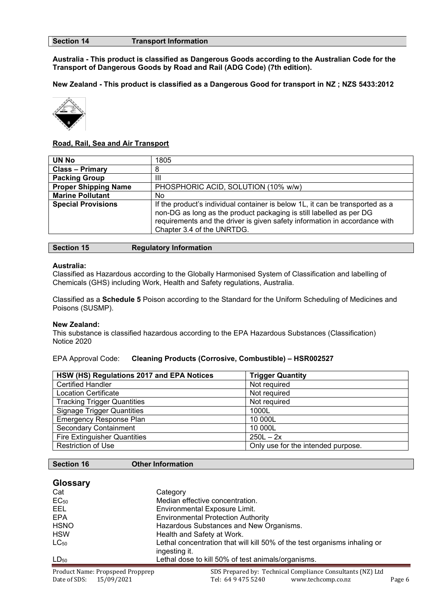#### **Section 14 Transport Information**

**Australia - This product is classified as Dangerous Goods according to the Australian Code for the Transport of Dangerous Goods by Road and Rail (ADG Code) (7th edition).**

**New Zealand - This product is classified as a Dangerous Good for transport in NZ ; NZS 5433:2012**



#### **Road, Rail, Sea and Air Transport**

| <b>UN No</b>                | 1805                                                                                                                                                                                                                                                             |
|-----------------------------|------------------------------------------------------------------------------------------------------------------------------------------------------------------------------------------------------------------------------------------------------------------|
| <b>Class - Primary</b>      | 8                                                                                                                                                                                                                                                                |
| <b>Packing Group</b>        | Ш                                                                                                                                                                                                                                                                |
| <b>Proper Shipping Name</b> | PHOSPHORIC ACID, SOLUTION (10% w/w)                                                                                                                                                                                                                              |
| <b>Marine Pollutant</b>     | No                                                                                                                                                                                                                                                               |
| <b>Special Provisions</b>   | If the product's individual container is below 1L, it can be transported as a<br>non-DG as long as the product packaging is still labelled as per DG<br>requirements and the driver is given safety information in accordance with<br>Chapter 3.4 of the UNRTDG. |

| <b>Section 15</b> | <b>Regulatory Information</b> |
|-------------------|-------------------------------|
|-------------------|-------------------------------|

#### **Australia:**

Classified as Hazardous according to the Globally Harmonised System of Classification and labelling of Chemicals (GHS) including Work, Health and Safety regulations, Australia.

Classified as a **Schedule 5** Poison according to the Standard for the Uniform Scheduling of Medicines and Poisons (SUSMP).

#### **New Zealand:**

This substance is classified hazardous according to the EPA Hazardous Substances (Classification) Notice 2020

#### EPA Approval Code: **Cleaning Products (Corrosive, Combustible) – HSR002527**

| HSW (HS) Regulations 2017 and EPA Notices | <b>Trigger Quantity</b>            |
|-------------------------------------------|------------------------------------|
| <b>Certified Handler</b>                  | Not required                       |
| <b>Location Certificate</b>               | Not required                       |
| <b>Tracking Trigger Quantities</b>        | Not required                       |
| <b>Signage Trigger Quantities</b>         | 1000L                              |
| <b>Emergency Response Plan</b>            | 10 000L                            |
| <b>Secondary Containment</b>              | 10 000L                            |
| <b>Fire Extinguisher Quantities</b>       | $250L - 2x$                        |
| <b>Restriction of Use</b>                 | Only use for the intended purpose. |

#### **Section 16 Other Information**

| <b>Glossary</b> |                                                                                            |
|-----------------|--------------------------------------------------------------------------------------------|
| Cat             | Category                                                                                   |
| $EC_{50}$       | Median effective concentration.                                                            |
| <b>EEL</b>      | Environmental Exposure Limit.                                                              |
| <b>EPA</b>      | <b>Environmental Protection Authority</b>                                                  |
| <b>HSNO</b>     | Hazardous Substances and New Organisms.                                                    |
| <b>HSW</b>      | Health and Safety at Work.                                                                 |
| $LC_{50}$       | Lethal concentration that will kill 50% of the test organisms inhaling or<br>ingesting it. |
| $LD_{50}$       | Lethal dose to kill 50% of test animals/organisms.                                         |